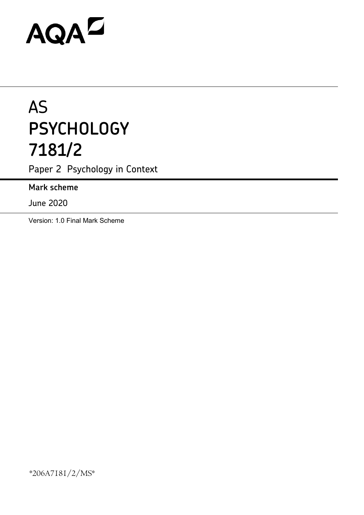# AQAZ

# AS **PSYCHOLOGY 7181/2**

Paper 2 Psychology in Context

**Mark scheme**

June 2020

Version: 1.0 Final Mark Scheme

\*206A7181/2/MS\*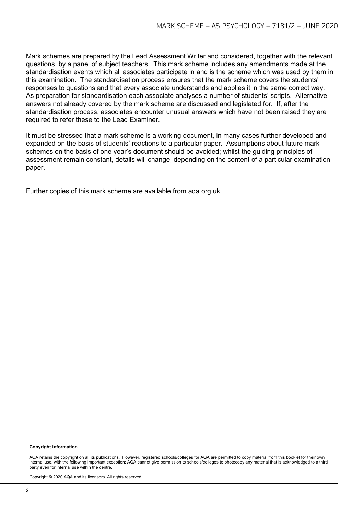Mark schemes are prepared by the Lead Assessment Writer and considered, together with the relevant questions, by a panel of subject teachers. This mark scheme includes any amendments made at the standardisation events which all associates participate in and is the scheme which was used by them in this examination. The standardisation process ensures that the mark scheme covers the students' responses to questions and that every associate understands and applies it in the same correct way. As preparation for standardisation each associate analyses a number of students' scripts. Alternative answers not already covered by the mark scheme are discussed and legislated for. If, after the standardisation process, associates encounter unusual answers which have not been raised they are required to refer these to the Lead Examiner.

It must be stressed that a mark scheme is a working document, in many cases further developed and expanded on the basis of students' reactions to a particular paper. Assumptions about future mark schemes on the basis of one year's document should be avoided; whilst the guiding principles of assessment remain constant, details will change, depending on the content of a particular examination paper.

Further copies of this mark scheme are available from aqa.org.uk.

#### **Copyright information**

AQA retains the copyright on all its publications. However, registered schools/colleges for AQA are permitted to copy material from this booklet for their own internal use, with the following important exception: AQA cannot give permission to schools/colleges to photocopy any material that is acknowledged to a third party even for internal use within the centre.

Copyright © 2020 AQA and its licensors. All rights reserved.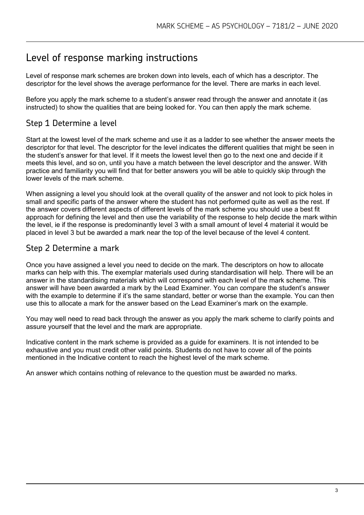# Level of response marking instructions

Level of response mark schemes are broken down into levels, each of which has a descriptor. The descriptor for the level shows the average performance for the level. There are marks in each level.

Before you apply the mark scheme to a student's answer read through the answer and annotate it (as instructed) to show the qualities that are being looked for. You can then apply the mark scheme.

# Step 1 Determine a level

Start at the lowest level of the mark scheme and use it as a ladder to see whether the answer meets the descriptor for that level. The descriptor for the level indicates the different qualities that might be seen in the student's answer for that level. If it meets the lowest level then go to the next one and decide if it meets this level, and so on, until you have a match between the level descriptor and the answer. With practice and familiarity you will find that for better answers you will be able to quickly skip through the lower levels of the mark scheme.

When assigning a level you should look at the overall quality of the answer and not look to pick holes in small and specific parts of the answer where the student has not performed quite as well as the rest. If the answer covers different aspects of different levels of the mark scheme you should use a best fit approach for defining the level and then use the variability of the response to help decide the mark within the level, ie if the response is predominantly level 3 with a small amount of level 4 material it would be placed in level 3 but be awarded a mark near the top of the level because of the level 4 content.

# Step 2 Determine a mark

Once you have assigned a level you need to decide on the mark. The descriptors on how to allocate marks can help with this. The exemplar materials used during standardisation will help. There will be an answer in the standardising materials which will correspond with each level of the mark scheme. This answer will have been awarded a mark by the Lead Examiner. You can compare the student's answer with the example to determine if it's the same standard, better or worse than the example. You can then use this to allocate a mark for the answer based on the Lead Examiner's mark on the example.

You may well need to read back through the answer as you apply the mark scheme to clarify points and assure yourself that the level and the mark are appropriate.

Indicative content in the mark scheme is provided as a guide for examiners. It is not intended to be exhaustive and you must credit other valid points. Students do not have to cover all of the points mentioned in the Indicative content to reach the highest level of the mark scheme.

An answer which contains nothing of relevance to the question must be awarded no marks.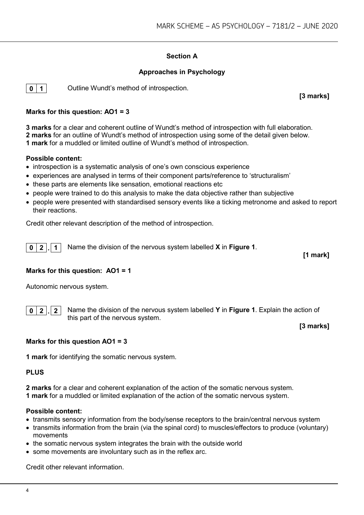# **Section A**

# **Approaches in Psychology**



**0** | **1** | Outline Wundt's method of introspection.

**[3 marks]**

# **Marks for this question: AO1 = 3**

**3 marks** for a clear and coherent outline of Wundt's method of introspection with full elaboration. **2 marks** for an outline of Wundt's method of introspection using some of the detail given below. **1 mark** for a muddled or limited outline of Wundt's method of introspection.

#### **Possible content:**

- introspection is a systematic analysis of one's own conscious experience
- experiences are analysed in terms of their component parts/reference to 'structuralism'
- these parts are elements like sensation, emotional reactions etc
- people were trained to do this analysis to make the data objective rather than subjective
- people were presented with standardised sensory events like a ticking metronome and asked to report their reactions.

Credit other relevant description of the method of introspection.

**0 2 . 1** Name the division of the nervous system labelled **X** in **Figure 1**.

**[1 mark]**

# **Marks for this question: AO1 = 1**

Autonomic nervous system.

**0 2 . 2** Name the division of the nervous system labelled **Y** in **Figure 1**. Explain the action of this part of the nervous system.

**[3 marks]**

# **Marks for this question AO1 = 3**

**1 mark** for identifying the somatic nervous system.

# **PLUS**

**2 marks** for a clear and coherent explanation of the action of the somatic nervous system. **1 mark** for a muddled or limited explanation of the action of the somatic nervous system.

#### **Possible content:**

- transmits sensory information from the body/sense receptors to the brain/central nervous system
- transmits information from the brain (via the spinal cord) to muscles/effectors to produce (voluntary) movements
- the somatic nervous system integrates the brain with the outside world
- some movements are involuntary such as in the reflex arc.

Credit other relevant information.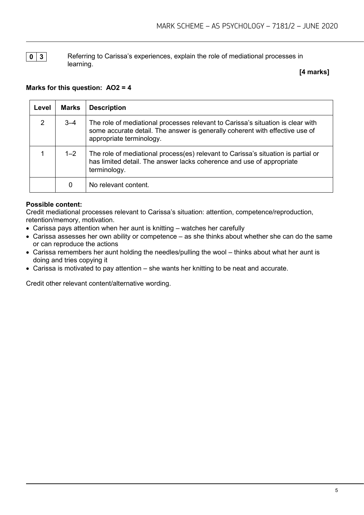**0 3** Referring to Carissa's experiences, explain the role of mediational processes in learning.

**[4 marks]**

# **Marks for this question: AO2 = 4**

| Level          | <b>Marks</b> | <b>Description</b>                                                                                                                                                                          |
|----------------|--------------|---------------------------------------------------------------------------------------------------------------------------------------------------------------------------------------------|
| $\overline{2}$ | $3 - 4$      | The role of mediational processes relevant to Carissa's situation is clear with<br>some accurate detail. The answer is generally coherent with effective use of<br>appropriate terminology. |
|                | $1 - 2$      | The role of mediational process(es) relevant to Carissa's situation is partial or<br>has limited detail. The answer lacks coherence and use of appropriate<br>terminology.                  |
|                | 0            | No relevant content.                                                                                                                                                                        |

# **Possible content:**

Credit mediational processes relevant to Carissa's situation: attention, competence/reproduction, retention/memory, motivation.

- Carissa pays attention when her aunt is knitting watches her carefully
- Carissa assesses her own ability or competence as she thinks about whether she can do the same or can reproduce the actions
- Carissa remembers her aunt holding the needles/pulling the wool thinks about what her aunt is doing and tries copying it
- Carissa is motivated to pay attention she wants her knitting to be neat and accurate.

Credit other relevant content/alternative wording.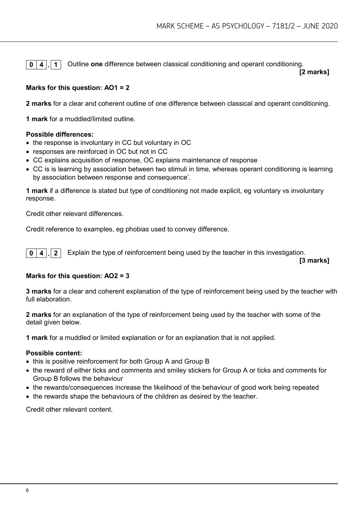**0 4 . 1** Outline **one** difference between classical conditioning and operant conditioning.

**[2 marks]**

# **Marks for this question: AO1 = 2**

**2 marks** for a clear and coherent outline of one difference between classical and operant conditioning.

**1 mark** for a muddled/limited outline.

# **Possible differences:**

- the response is involuntary in CC but voluntary in OC
- responses are reinforced in OC but not in CC
- CC explains acquisition of response, OC explains maintenance of response
- CC is is learning by association between two stimuli in time, whereas operant conditioning is learning by association between response and consequence'.

**1 mark** if a difference is stated but type of conditioning not made explicit, eg voluntary vs involuntary response.

Credit other relevant differences.

Credit reference to examples, eg phobias used to convey difference.

**0 4 . 2** Explain the type of reinforcement being used by the teacher in this investigation.

**[3 marks]**

# **Marks for this question: AO2 = 3**

**3 marks** for a clear and coherent explanation of the type of reinforcement being used by the teacher with full elaboration.

**2 marks** for an explanation of the type of reinforcement being used by the teacher with some of the detail given below.

**1 mark** for a muddled or limited explanation or for an explanation that is not applied.

# **Possible content:**

- this is positive reinforcement for both Group A and Group B
- the reward of either ticks and comments and smiley stickers for Group A or ticks and comments for Group B follows the behaviour
- the rewards/consequences increase the likelihood of the behaviour of good work being repeated
- the rewards shape the behaviours of the children as desired by the teacher.

Credit other relevant content.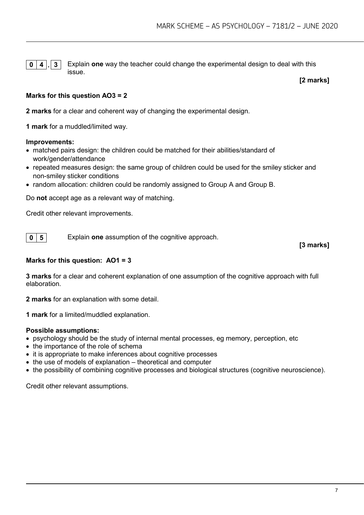**0 4 . 3** Explain **one** way the teacher could change the experimental design to deal with this issue.

**[2 marks]**

# **Marks for this question AO3 = 2**

**2 marks** for a clear and coherent way of changing the experimental design.

**1 mark** for a muddled/limited way.

#### **Improvements:**

- matched pairs design: the children could be matched for their abilities/standard of work/gender/attendance
- repeated measures design: the same group of children could be used for the smiley sticker and non-smiley sticker conditions
- random allocation: children could be randomly assigned to Group A and Group B.

Do **not** accept age as a relevant way of matching.

Credit other relevant improvements.

**0 5** Explain one assumption of the cognitive approach.

# **[3 marks]**

# **Marks for this question: AO1 = 3**

**3 marks** for a clear and coherent explanation of one assumption of the cognitive approach with full elaboration.

**2 marks** for an explanation with some detail.

**1 mark** for a limited/muddled explanation.

# **Possible assumptions:**

- psychology should be the study of internal mental processes, eg memory, perception, etc
- the importance of the role of schema
- it is appropriate to make inferences about cognitive processes
- the use of models of explanation theoretical and computer
- the possibility of combining cognitive processes and biological structures (cognitive neuroscience).

Credit other relevant assumptions.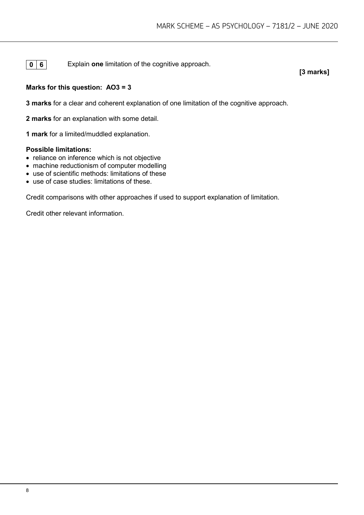**0 6** Explain one limitation of the cognitive approach.

# **[3 marks]**

# **Marks for this question: AO3 = 3**

**3 marks** for a clear and coherent explanation of one limitation of the cognitive approach.

**2 marks** for an explanation with some detail.

**1 mark** for a limited/muddled explanation.

#### **Possible limitations:**

- reliance on inference which is not objective
- machine reductionism of computer modelling
- use of scientific methods: limitations of these
- use of case studies: limitations of these.

Credit comparisons with other approaches if used to support explanation of limitation.

Credit other relevant information.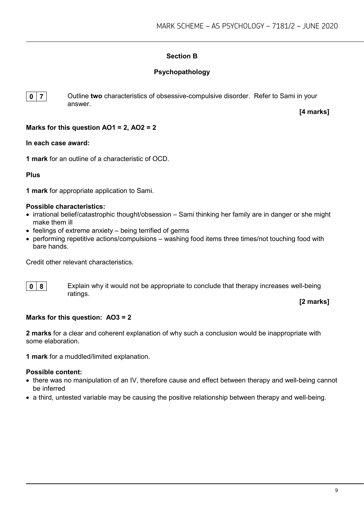# **Section B**

# **Psychopathology**

**0 7** Outline **two** characteristics of obsessive-compulsive disorder. Refer to Sami in your answer.

**[4 marks]**

# **Marks for this question AO1 = 2, AO2 = 2**

#### **In each case award:**

**1 mark** for an outline of a characteristic of OCD.

**Plus**

**1 mark** for appropriate application to Sami.

#### **Possible characteristics:**

- irrational belief/catastrophic thought/obsession Sami thinking her family are in danger or she might make them ill
- feelings of extreme anxiety being terrified of germs
- performing repetitive actions/compulsions washing food items three times/not touching food with bare hands.

Credit other relevant characteristics.

**0 8** Explain why it would not be appropriate to conclude that therapy increases well-being ratings.

**[2 marks]**

# **Marks for this question: AO3 = 2**

**2 marks** for a clear and coherent explanation of why such a conclusion would be inappropriate with some elaboration.

**1 mark** for a muddled/limited explanation.

#### **Possible content:**

- there was no manipulation of an IV, therefore cause and effect between therapy and well-being cannot be inferred
- a third, untested variable may be causing the positive relationship between therapy and well-being.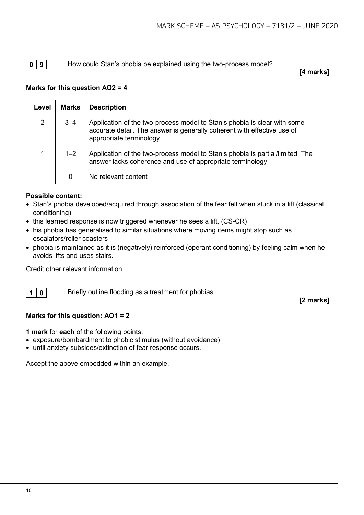# **0 9** How could Stan's phobia be explained using the two-process model?

#### **[4 marks]**

# **Marks for this question AO2 = 4**

| Level | <b>Marks</b> | <b>Description</b>                                                                                                                                                              |
|-------|--------------|---------------------------------------------------------------------------------------------------------------------------------------------------------------------------------|
| 2     | $3 - 4$      | Application of the two-process model to Stan's phobia is clear with some<br>accurate detail. The answer is generally coherent with effective use of<br>appropriate terminology. |
|       | $1 - 2$      | Application of the two-process model to Stan's phobia is partial/limited. The<br>answer lacks coherence and use of appropriate terminology.                                     |
|       | 0            | No relevant content                                                                                                                                                             |

# **Possible content:**

- Stan's phobia developed/acquired through association of the fear felt when stuck in a lift (classical conditioning)
- this learned response is now triggered whenever he sees a lift, (CS-CR)
- his phobia has generalised to similar situations where moving items might stop such as escalators/roller coasters
- phobia is maintained as it is (negatively) reinforced (operant conditioning) by feeling calm when he avoids lifts and uses stairs.

Credit other relevant information.

**1 0** Briefly outline flooding as a treatment for phobias.

**[2 marks]**

# **Marks for this question: AO1 = 2**

**1 mark** for **each** of the following points:

- exposure/bombardment to phobic stimulus (without avoidance)
- until anxiety subsides/extinction of fear response occurs.

Accept the above embedded within an example.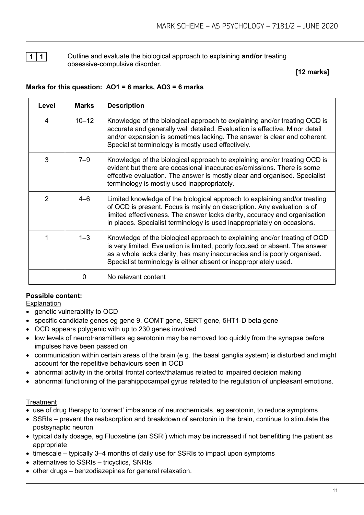

**1 1** Outline and evaluate the biological approach to explaining **and/or** treating obsessive-compulsive disorder.

**[12 marks]**

# **Marks for this question: AO1 = 6 marks, AO3 = 6 marks**

| Level | <b>Marks</b> | <b>Description</b>                                                                                                                                                                                                                                                                                             |
|-------|--------------|----------------------------------------------------------------------------------------------------------------------------------------------------------------------------------------------------------------------------------------------------------------------------------------------------------------|
| 4     | $10 - 12$    | Knowledge of the biological approach to explaining and/or treating OCD is<br>accurate and generally well detailed. Evaluation is effective. Minor detail<br>and/or expansion is sometimes lacking. The answer is clear and coherent.<br>Specialist terminology is mostly used effectively.                     |
| 3     | $7 - 9$      | Knowledge of the biological approach to explaining and/or treating OCD is<br>evident but there are occasional inaccuracies/omissions. There is some<br>effective evaluation. The answer is mostly clear and organised. Specialist<br>terminology is mostly used inappropriately.                               |
| 2     | $4 - 6$      | Limited knowledge of the biological approach to explaining and/or treating<br>of OCD is present. Focus is mainly on description. Any evaluation is of<br>limited effectiveness. The answer lacks clarity, accuracy and organisation<br>in places. Specialist terminology is used inappropriately on occasions. |
| 1     | $1 - 3$      | Knowledge of the biological approach to explaining and/or treating of OCD<br>is very limited. Evaluation is limited, poorly focused or absent. The answer<br>as a whole lacks clarity, has many inaccuracies and is poorly organised.<br>Specialist terminology is either absent or inappropriately used.      |
|       | $\Omega$     | No relevant content                                                                                                                                                                                                                                                                                            |

# **Possible content:**

**Explanation** 

- genetic vulnerability to OCD
- specific candidate genes eg gene 9, COMT gene, SERT gene, 5HT1-D beta gene
- OCD appears polygenic with up to 230 genes involved
- low levels of neurotransmitters eg serotonin may be removed too quickly from the synapse before impulses have been passed on
- communication within certain areas of the brain (e.g. the basal ganglia system) is disturbed and might account for the repetitive behaviours seen in OCD
- abnormal activity in the orbital frontal cortex/thalamus related to impaired decision making
- abnormal functioning of the parahippocampal gyrus related to the regulation of unpleasant emotions.

# **Treatment**

- use of drug therapy to 'correct' imbalance of neurochemicals, eg serotonin, to reduce symptoms
- SSRIs prevent the reabsorption and breakdown of serotonin in the brain, continue to stimulate the postsynaptic neuron
- typical daily dosage, eg Fluoxetine (an SSRI) which may be increased if not benefitting the patient as appropriate
- timescale typically 3–4 months of daily use for SSRIs to impact upon symptoms
- alternatives to SSRIs tricyclics, SNRIs
- other drugs benzodiazepines for general relaxation.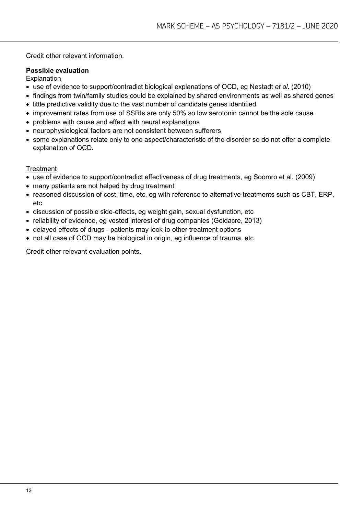Credit other relevant information.

# **Possible evaluation**

**Explanation** 

- use of evidence to support/contradict biological explanations of OCD, eg Nestadt *et al*. (2010)
- findings from twin/family studies could be explained by shared environments as well as shared genes
- little predictive validity due to the vast number of candidate genes identified
- improvement rates from use of SSRIs are only 50% so low serotonin cannot be the sole cause
- problems with cause and effect with neural explanations
- neurophysiological factors are not consistent between sufferers
- some explanations relate only to one aspect/characteristic of the disorder so do not offer a complete explanation of OCD.

# **Treatment**

- use of evidence to support/contradict effectiveness of drug treatments, eg Soomro et al. (2009)
- many patients are not helped by drug treatment
- reasoned discussion of cost, time, etc, eg with reference to alternative treatments such as CBT, ERP, etc
- discussion of possible side-effects, eg weight gain, sexual dysfunction, etc
- reliability of evidence, eg vested interest of drug companies (Goldacre, 2013)
- delayed effects of drugs patients may look to other treatment options
- not all case of OCD may be biological in origin, eg influence of trauma, etc.

Credit other relevant evaluation points.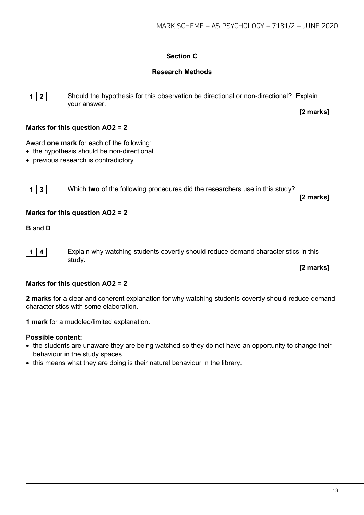# **Section C**

# **Research Methods**

**1 2** Should the hypothesis for this observation be directional or non-directional? Explain your answer.

**Marks for this question AO2 = 2**

Award **one mark** for each of the following:

- the hypothesis should be non-directional
- previous research is contradictory.

**1 3** Which **two** of the following procedures did the researchers use in this study?

**[2 marks]**

**[2 marks]**

# **Marks for this question AO2 = 2**

**B** and **D**

**1 4 Explain why watching students covertly should reduce demand characteristics in this** study.

**[2 marks]**

# **Marks for this question AO2 = 2**

**2 marks** for a clear and coherent explanation for why watching students covertly should reduce demand characteristics with some elaboration.

**1 mark** for a muddled/limited explanation.

# **Possible content:**

- the students are unaware they are being watched so they do not have an opportunity to change their behaviour in the study spaces
- this means what they are doing is their natural behaviour in the library.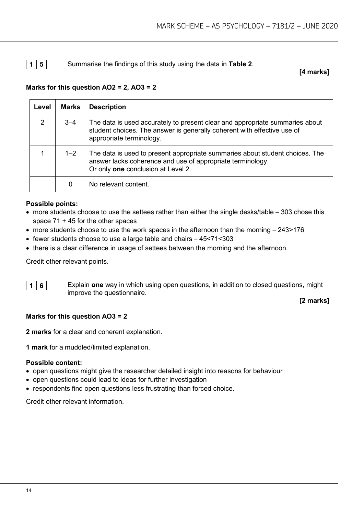# **1 5** Summarise the findings of this study using the data in **Table 2**.

# **[4 marks]**

# **Marks for this question AO2 = 2, AO3 = 2**

| Level          | <b>Marks</b> | <b>Description</b>                                                                                                                                                                  |
|----------------|--------------|-------------------------------------------------------------------------------------------------------------------------------------------------------------------------------------|
| $\overline{2}$ | $3 - 4$      | The data is used accurately to present clear and appropriate summaries about<br>student choices. The answer is generally coherent with effective use of<br>appropriate terminology. |
|                | $1 - 2$      | The data is used to present appropriate summaries about student choices. The<br>answer lacks coherence and use of appropriate terminology.<br>Or only one conclusion at Level 2.    |
|                | 0            | No relevant content.                                                                                                                                                                |

# **Possible points:**

- more students choose to use the settees rather than either the single desks/table 303 chose this space 71 + 45 for the other spaces
- more students choose to use the work spaces in the afternoon than the morning 243>176
- fewer students choose to use a large table and chairs 45<71<303
- there is a clear difference in usage of settees between the morning and the afternoon.

Credit other relevant points.

**1 6** Explain **one** way in which using open questions, in addition to closed questions, might improve the questionnaire.

**[2 marks]**

# **Marks for this question AO3 = 2**

**2 marks** for a clear and coherent explanation.

**1 mark** for a muddled/limited explanation.

#### **Possible content:**

- open questions might give the researcher detailed insight into reasons for behaviour
- open questions could lead to ideas for further investigation
- respondents find open questions less frustrating than forced choice.

Credit other relevant information.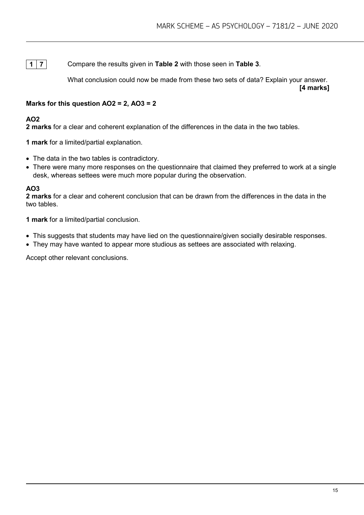**1 7** Compare the results given in **Table 2** with those seen in **Table 3**.

What conclusion could now be made from these two sets of data? Explain your answer.

**[4 marks]**

# **Marks for this question AO2 = 2, AO3 = 2**

# **AO2**

**2 marks** for a clear and coherent explanation of the differences in the data in the two tables.

**1 mark** for a limited/partial explanation.

- The data in the two tables is contradictory.
- There were many more responses on the questionnaire that claimed they preferred to work at a single desk, whereas settees were much more popular during the observation.

# **AO3**

**2 marks** for a clear and coherent conclusion that can be drawn from the differences in the data in the two tables.

**1 mark** for a limited/partial conclusion.

- This suggests that students may have lied on the questionnaire/given socially desirable responses.
- They may have wanted to appear more studious as settees are associated with relaxing.

Accept other relevant conclusions.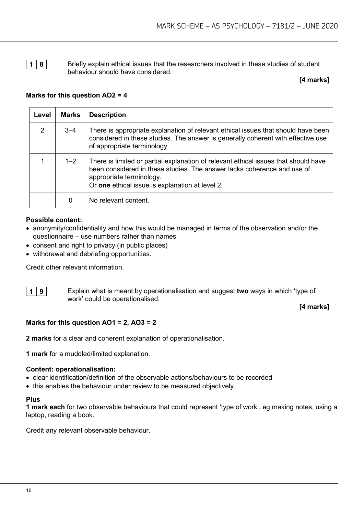**1 8** Briefly explain ethical issues that the researchers involved in these studies of student behaviour should have considered.

# **[4 marks]**

# **Marks for this question AO2 = 4**

| Level          | <b>Marks</b> | <b>Description</b>                                                                                                                                                                                                                            |
|----------------|--------------|-----------------------------------------------------------------------------------------------------------------------------------------------------------------------------------------------------------------------------------------------|
| $\overline{2}$ | $3 - 4$      | There is appropriate explanation of relevant ethical issues that should have been<br>considered in these studies. The answer is generally coherent with effective use<br>of appropriate terminology.                                          |
|                | $1 - 2$      | There is limited or partial explanation of relevant ethical issues that should have<br>been considered in these studies. The answer lacks coherence and use of<br>appropriate terminology.<br>Or one ethical issue is explanation at level 2. |
|                | 0            | No relevant content.                                                                                                                                                                                                                          |

# **Possible content:**

- anonymity/confidentiality and how this would be managed in terms of the observation and/or the questionnaire – use numbers rather than names
- consent and right to privacy (in public places)
- withdrawal and debriefing opportunities.

Credit other relevant information.

**1 9** Explain what is meant by operationalisation and suggest **two** ways in which 'type of work' could be operationalised.

**[4 marks]**

# **Marks for this question AO1 = 2, AO3 = 2**

**2 marks** for a clear and coherent explanation of operationalisation.

**1 mark** for a muddled/limited explanation.

# **Content: operationalisation:**

- clear identification/definition of the observable actions/behaviours to be recorded
- this enables the behaviour under review to be measured objectively.

# **Plus**

**1 mark each** for two observable behaviours that could represent 'type of work', eg making notes, using a laptop, reading a book.

Credit any relevant observable behaviour.